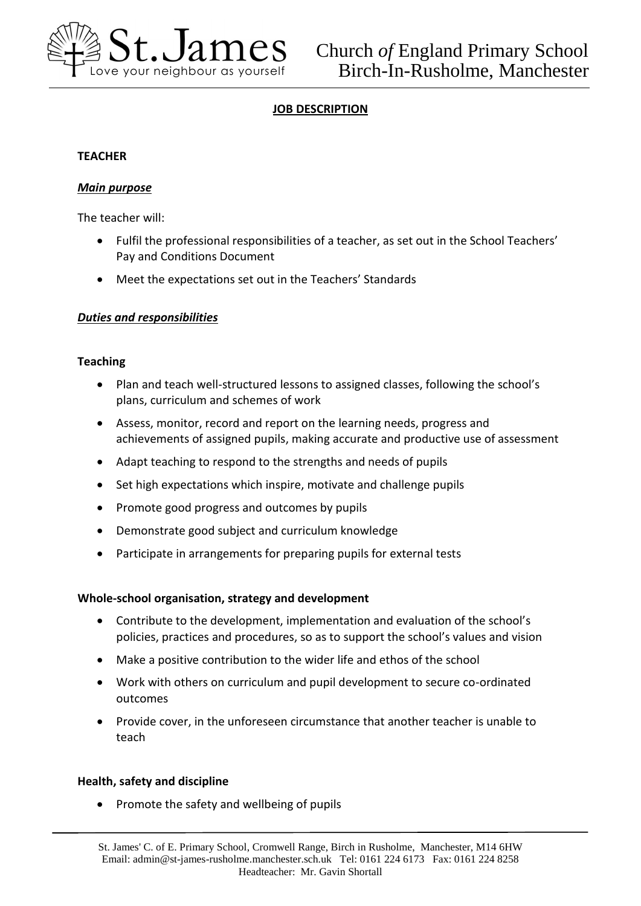

# **JOB DESCRIPTION**

## **TEACHER**

### *Main purpose*

The teacher will:

- Fulfil the professional responsibilities of a teacher, as set out in the School Teachers' Pay and Conditions Document
- Meet the expectations set out in the Teachers' Standards

## *Duties and responsibilities*

### **Teaching**

- Plan and teach well-structured lessons to assigned classes, following the school's plans, curriculum and schemes of work
- Assess, monitor, record and report on the learning needs, progress and achievements of assigned pupils, making accurate and productive use of assessment
- Adapt teaching to respond to the strengths and needs of pupils
- Set high expectations which inspire, motivate and challenge pupils
- Promote good progress and outcomes by pupils
- Demonstrate good subject and curriculum knowledge
- Participate in arrangements for preparing pupils for external tests

### **Whole-school organisation, strategy and development**

- Contribute to the development, implementation and evaluation of the school's policies, practices and procedures, so as to support the school's values and vision
- Make a positive contribution to the wider life and ethos of the school
- Work with others on curriculum and pupil development to secure co-ordinated outcomes
- Provide cover, in the unforeseen circumstance that another teacher is unable to teach

### **Health, safety and discipline**

• Promote the safety and wellbeing of pupils